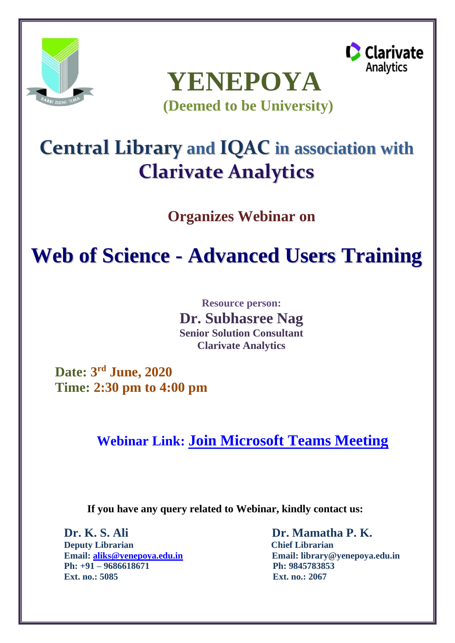





**Central Library and IQAC in association with Clarivate Analytics**

**Organizes Webinar on**

## **Web of Science - Advanced Users Training**

**Resource person: Dr. Subhasree Nag Senior Solution Consultant Clarivate Analytics**

**Date: 3 rd June, 2020 Time: 2:30 pm to 4:00 pm**

**Webinar Link: [Join Microsoft Teams Meeting](https://teams.microsoft.com/l/meetup-join/19%3ameeting_MWZlZmUzNGItNTdiOC00YmM0LTg1OWQtY2U1ZmFjMjdjOTBi%40thread.v2/0?context=%7b%22Tid%22%3a%22127fa96e-00b4-429e-95f9-72c2828437a4%22%2c%22Oid%22%3a%22c68313b6-f0dc-4996-9f1d-2af2d538e161%22%7d)**

**If you have any query related to Webinar, kindly contact us:**

**Dr. K. S. Ali Dr. Mamatha P. K. Deputy Librarian Chief Librarian Ph: +91 – 9686618671 Ph: 9845783853 Ext. no.: 5085 Ext. no.: 2067**

**Email: [aliks@yenepoya.edu.in](mailto:aliks@yenepoya.edu.in) Email: [library@yenepoya.edu.in](mailto:library@yenepoya.edu.in)**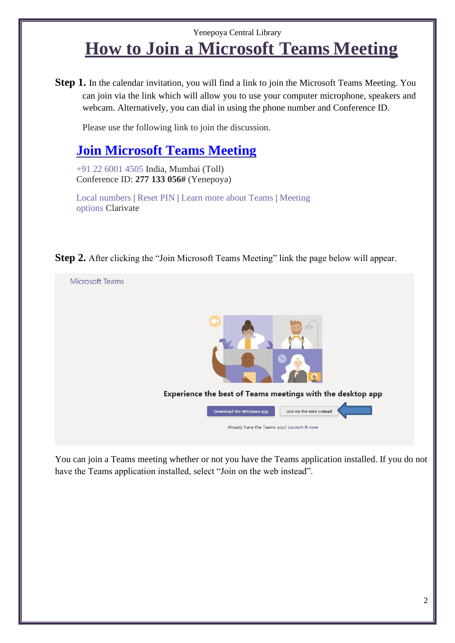## Yenepoya Central Library **How to Join a Microsoft Teams Meeting**

**Step 1.** In the calendar invitation, you will find a link to join the Microsoft Teams Meeting. You can join via the link which will allow you to use your computer microphone, speakers and webcam. Alternatively, you can dial in using the phone number and Conference ID.

Please use the following link to join the discussion.

## **[Join Microsoft Teams Meeting](https://teams.microsoft.com/l/meetup-join/19%3ameeting_MWZlZmUzNGItNTdiOC00YmM0LTg1OWQtY2U1ZmFjMjdjOTBi%40thread.v2/0?context=%7b%22Tid%22%3a%22127fa96e-00b4-429e-95f9-72c2828437a4%22%2c%22Oid%22%3a%22c68313b6-f0dc-4996-9f1d-2af2d538e161%22%7d)**

+91 22 6001 4505 India, Mumbai (Toll) Conference ID: **277 133 056#** (Yenepoya)

[Local numbers |](https://urldefense.proofpoint.com/v2/url?u=https-3A__dialin.teams.microsoft.com_70fa4463-2D8186-2D4f75-2Db494-2De31888fcda8c-3Fid-3D815761373&d=DwMFaQ&c=OGmtg_3SI10Cogwk-ShFiw&r=O5MD0QfRdIESdmUF8CDJD9GsaX6sgtv_MUCTGpAQEvI&m=6E0Ma7404KWsxmqufdiAABffQjSJ-KJ0-Ix7azRFUk8&s=qa5oxEjag-omDgxzAXYE5o7FmBWmBPiiwabhFmc8L0k&e) [Reset PIN |](https://urldefense.proofpoint.com/v2/url?u=https-3A__mysettings.lync.com_pstnconferencing&d=DwMFaQ&c=OGmtg_3SI10Cogwk-ShFiw&r=O5MD0QfRdIESdmUF8CDJD9GsaX6sgtv_MUCTGpAQEvI&m=6E0Ma7404KWsxmqufdiAABffQjSJ-KJ0-Ix7azRFUk8&s=R1HH5HlQTr_GSQypJgf_k-OjLIMqBNVNwveO0MfAGEM&e) [Learn more about Teams |](https://urldefense.proofpoint.com/v2/url?u=https-3A__aka.ms_JoinTeamsMeeting&d=DwMFaQ&c=OGmtg_3SI10Cogwk-ShFiw&r=O5MD0QfRdIESdmUF8CDJD9GsaX6sgtv_MUCTGpAQEvI&m=6E0Ma7404KWsxmqufdiAABffQjSJ-KJ0-Ix7azRFUk8&s=KRrdVSlj6C0aepKfrfJj3TwgnVVXzMlWL420vJ3phh0&e) [Meeting](https://urldefense.proofpoint.com/v2/url?u=https-3A__teams.microsoft.com_meetingOptions_-3ForganizerId-3Dc68313b6-2Df0dc-2D4996-2D9f1d-2D2af2d538e161-26tenantId-3D127fa96e-2D00b4-2D429e-2D95f9-2D72c2828437a4-26threadId-3D19-5Fmeeting-5FN2M5MWQ0NDktMmYxMC00OTI0LTkyYTEtY2RiNGFjM2JkMjRi-40thread.v2-26messageId-3D0-26language-3Den-2DUS&d=DwMFaQ&c=OGmtg_3SI10Cogwk-ShFiw&r=O5MD0QfRdIESdmUF8CDJD9GsaX6sgtv_MUCTGpAQEvI&m=6E0Ma7404KWsxmqufdiAABffQjSJ-KJ0-Ix7azRFUk8&s=oQJVIZ1-FlisMDcTyi0CzjD11vRiq03XbXXQj1gXfUA&e)  [options](https://urldefense.proofpoint.com/v2/url?u=https-3A__teams.microsoft.com_meetingOptions_-3ForganizerId-3Dc68313b6-2Df0dc-2D4996-2D9f1d-2D2af2d538e161-26tenantId-3D127fa96e-2D00b4-2D429e-2D95f9-2D72c2828437a4-26threadId-3D19-5Fmeeting-5FN2M5MWQ0NDktMmYxMC00OTI0LTkyYTEtY2RiNGFjM2JkMjRi-40thread.v2-26messageId-3D0-26language-3Den-2DUS&d=DwMFaQ&c=OGmtg_3SI10Cogwk-ShFiw&r=O5MD0QfRdIESdmUF8CDJD9GsaX6sgtv_MUCTGpAQEvI&m=6E0Ma7404KWsxmqufdiAABffQjSJ-KJ0-Ix7azRFUk8&s=oQJVIZ1-FlisMDcTyi0CzjD11vRiq03XbXXQj1gXfUA&e) Clarivate

**Step 2.** After clicking the "Join Microsoft Teams Meeting" link the page below will appear.



You can join a Teams meeting whether or not you have the Teams application installed. If you do not have the Teams application installed, select "Join on the web instead".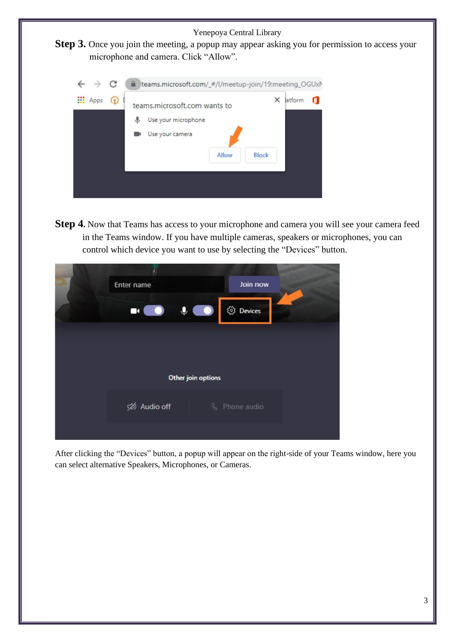



**Step 4.** Now that Teams has access to your microphone and camera you will see your camera feed in the Teams window. If you have multiple cameras, speakers or microphones, you can control which device you want to use by selecting the "Devices" button.

|  | Enter name     |             | Join now    |  |
|--|----------------|-------------|-------------|--|
|  | E              | $\mathbf 0$ | ි Devices   |  |
|  |                |             |             |  |
|  |                |             |             |  |
|  |                |             |             |  |
|  | प्ली Audio off | Q           | Phone audio |  |
|  |                |             |             |  |

After clicking the "Devices" button, a popup will appear on the right-side of your Teams window, here you can select alternative Speakers, Microphones, or Cameras.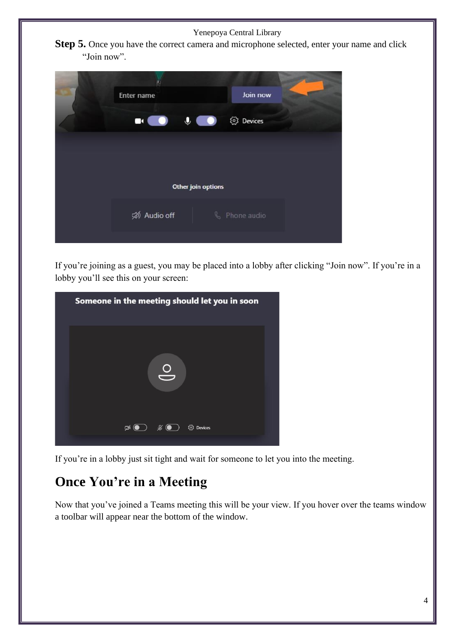Yenepoya Central Library

**Step 5.** Once you have the correct camera and microphone selected, enter your name and click "Join now".

|  | Enter name     |                        | Join now      |  |
|--|----------------|------------------------|---------------|--|
|  | E<br>$\bullet$ | $\bullet$<br>$\bullet$ | @ Devices     |  |
|  |                |                        |               |  |
|  |                |                        |               |  |
|  |                |                        |               |  |
|  | प्ली Audio off |                        | & Phone audio |  |
|  |                |                        |               |  |

If you're joining as a guest, you may be placed into a lobby after clicking "Join now". If you're in a lobby you'll see this on your screen:

| Someone in the meeting should let you in soon                               |  |
|-----------------------------------------------------------------------------|--|
|                                                                             |  |
| <b><i><u>o</u></i></b> Devices<br>$\mathbb{Z}(\bullet)$<br>$\mathscr{L}$ (O |  |
|                                                                             |  |

If you're in a lobby just sit tight and wait for someone to let you into the meeting.

## **Once You're in a Meeting**

Now that you've joined a Teams meeting this will be your view. If you hover over the teams window a toolbar will appear near the bottom of the window.